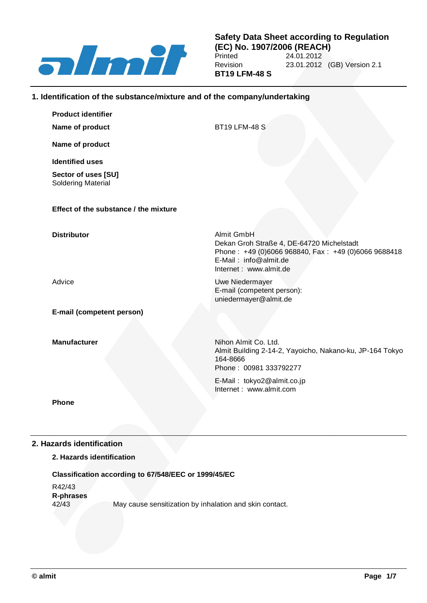

**Safety Data Sheet according to Regulation (EC) No. 1907/2006 (REACH)** 24.01.2012 Revision 23.01.2012 (GB) Version 2.1 **BT19 LFM-48 S**

## **1. Identification of the substance/mixture and of the company/undertaking**

| <b>Product identifier</b>                        |                                                                                                                                                                   |
|--------------------------------------------------|-------------------------------------------------------------------------------------------------------------------------------------------------------------------|
| Name of product                                  | <b>BT19 LFM-48 S</b>                                                                                                                                              |
| Name of product                                  |                                                                                                                                                                   |
| <b>Identified uses</b>                           |                                                                                                                                                                   |
| Sector of uses [SU]<br><b>Soldering Material</b> |                                                                                                                                                                   |
| Effect of the substance / the mixture            |                                                                                                                                                                   |
|                                                  |                                                                                                                                                                   |
| <b>Distributor</b>                               | Almit GmbH<br>Dekan Groh Straße 4, DE-64720 Michelstadt<br>Phone: +49 (0)6066 968840, Fax: +49 (0)6066 9688418<br>E-Mail: info@almit.de<br>Internet: www.almit.de |
| Advice                                           | Uwe Niedermayer<br>E-mail (competent person):<br>uniedermayer@almit.de                                                                                            |
| E-mail (competent person)                        |                                                                                                                                                                   |
| <b>Manufacturer</b>                              | Nihon Almit Co. Ltd.<br>Almit Building 2-14-2, Yayoicho, Nakano-ku, JP-164 Tokyo<br>164-8666<br>Phone: 00981 333792277                                            |
|                                                  | E-Mail: tokyo2@almit.co.jp<br>Internet: www.almit.com                                                                                                             |
| <b>Phone</b>                                     |                                                                                                                                                                   |

## **2. Hazards identification**

## **2. Hazards identification**

## **Classification according to 67/548/EEC or 1999/45/EC**

R42/43 **R-phrases** 42/43 May cause sensitization by inhalation and skin contact.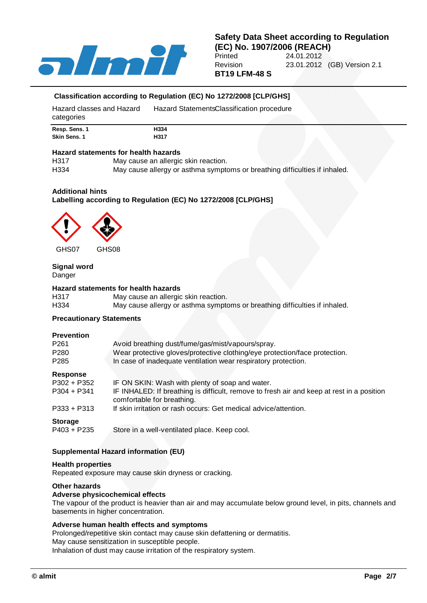

## **Safety Data Sheet according to Regulation (EC) No. 1907/2006 (REACH)**<br>Printed 24.01.2012 24.01.2012 Revision 23.01.2012 (GB) Version 2.1 **BT19 LFM-48 S**

## **Classification according to Regulation (EC) No 1272/2008 [CLP/GHS]**

| Hazard classes and Hazard<br>categories | Hazard Statements Classification procedure |  |
|-----------------------------------------|--------------------------------------------|--|
| Resp. Sens. 1                           | H334                                       |  |
| Skin Sens. 1                            | H317                                       |  |

#### **Hazard statements for health hazards**

| H317 | May cause an allergic skin reaction.                                       |
|------|----------------------------------------------------------------------------|
| H334 | May cause allergy or asthma symptoms or breathing difficulties if inhaled. |

#### **Additional hints**

### **Labelling according to Regulation (EC) No 1272/2008 [CLP/GHS]**



GHS07 GHS08

# **Signal word**

Danger

## **Hazard statements for health hazards**

| H317             | May cause an allergic skin reaction.                                       |
|------------------|----------------------------------------------------------------------------|
| H <sub>334</sub> | May cause allergy or asthma symptoms or breathing difficulties if inhaled. |

#### **Precautionary Statements**

#### **Prevention**

| .                   |                                                                                                                         |
|---------------------|-------------------------------------------------------------------------------------------------------------------------|
| P261                | Avoid breathing dust/fume/gas/mist/vapours/spray.                                                                       |
| P280                | Wear protective gloves/protective clothing/eye protection/face protection.                                              |
| P285                | In case of inadequate ventilation wear respiratory protection.                                                          |
| Response            |                                                                                                                         |
| P302 + P352         | IF ON SKIN: Wash with plenty of soap and water.                                                                         |
| P304 + P341         | IF INHALED: If breathing is difficult, remove to fresh air and keep at rest in a position<br>comfortable for breathing. |
| P333 + P313         | If skin irritation or rash occurs: Get medical advice/attention.                                                        |
| C <sub>forona</sub> |                                                                                                                         |

#### **Storage**

P403 + P235 Store in a well-ventilated place. Keep cool.

## **Supplemental Hazard information (EU)**

#### **Health properties**

Repeated exposure may cause skin dryness or cracking.

#### **Other hazards**

#### **Adverse physicochemical effects**

The vapour of the product is heavier than air and may accumulate below ground level, in pits, channels and basements in higher concentration.

## **Adverse human health effects and symptoms**

Prolonged/repetitive skin contact may cause skin defattening or dermatitis. May cause sensitization in susceptible people.

Inhalation of dust may cause irritation of the respiratory system.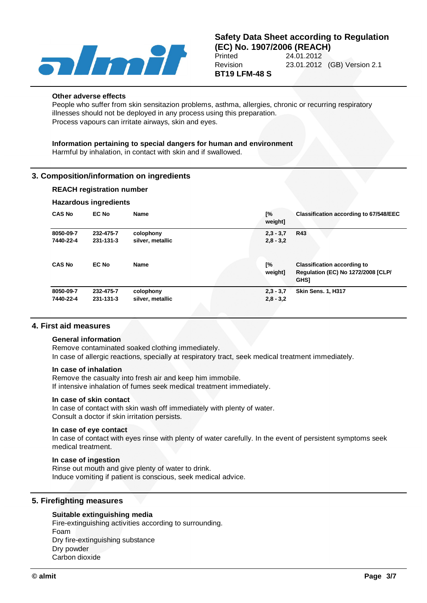

#### **Other adverse effects**

People who suffer from skin sensitazion problems, asthma, allergies, chronic or recurring respiratory illnesses should not be deployed in any process using this preparation. Process vapours can irritate airways, skin and eyes.

# **Information pertaining to special dangers for human and environment**

Harmful by inhalation, in contact with skin and if swallowed.

## **3. Composition/information on ingredients**

## **REACH registration number**

#### **Hazardous ingredients**

| <b>CAS No</b> | <b>EC No</b> | <b>Name</b>      | [%<br>weight] | <b>Classification according to 67/548/EEC</b>                                                  |
|---------------|--------------|------------------|---------------|------------------------------------------------------------------------------------------------|
| 8050-09-7     | 232-475-7    | colophony        | $2,3 - 3,7$   | <b>R43</b>                                                                                     |
| 7440-22-4     | 231-131-3    | silver, metallic | $2,8 - 3,2$   |                                                                                                |
| <b>CAS No</b> | <b>EC No</b> | Name             | [%<br>weight] | <b>Classification according to</b><br><b>Regulation (EC) No 1272/2008 [CLP/</b><br><b>GHS1</b> |
| 8050-09-7     | 232-475-7    | colophony        | $2,3 - 3,7$   | <b>Skin Sens. 1, H317</b>                                                                      |
| 7440-22-4     | 231-131-3    | silver, metallic | $2,8 - 3,2$   |                                                                                                |

## **4. First aid measures**

#### **General information**

Remove contaminated soaked clothing immediately.

In case of allergic reactions, specially at respiratory tract, seek medical treatment immediately.

#### **In case of inhalation**

Remove the casualty into fresh air and keep him immobile. If intensive inhalation of fumes seek medical treatment immediately.

#### **In case of skin contact**

In case of contact with skin wash off immediately with plenty of water. Consult a doctor if skin irritation persists.

#### **In case of eye contact**

In case of contact with eyes rinse with plenty of water carefully. In the event of persistent symptoms seek medical treatment.

### **In case of ingestion**

Rinse out mouth and give plenty of water to drink. Induce vomiting if patient is conscious, seek medical advice.

## **5. Firefighting measures**

## **Suitable extinguishing media**

Fire-extinguishing activities according to surrounding. Foam Dry fire-extinguishing substance Dry powder Carbon dioxide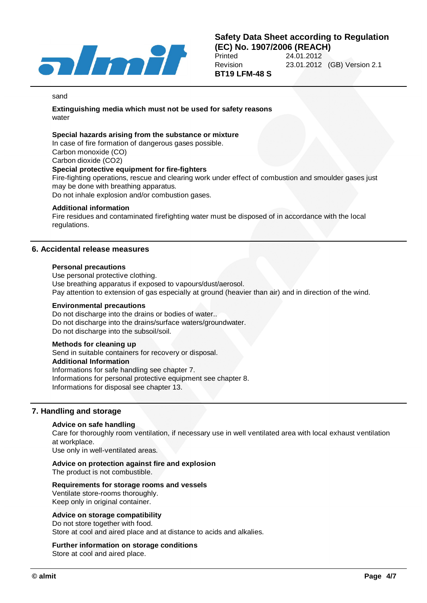

#### sand

**Extinguishing media which must not be used for safety reasons** water

#### **Special hazards arising from the substance or mixture**

In case of fire formation of dangerous gases possible. Carbon monoxide (CO) Carbon dioxide (CO2) **Special protective equipment for fire-fighters**

Fire-fighting operations, rescue and clearing work under effect of combustion and smoulder gases just may be done with breathing apparatus.

Do not inhale explosion and/or combustion gases.

#### **Additional information**

Fire residues and contaminated firefighting water must be disposed of in accordance with the local regulations.

#### **6. Accidental release measures**

#### **Personal precautions**

Use personal protective clothing. Use breathing apparatus if exposed to vapours/dust/aerosol. Pay attention to extension of gas especially at ground (heavier than air) and in direction of the wind.

#### **Environmental precautions**

Do not discharge into the drains or bodies of water.. Do not discharge into the drains/surface waters/groundwater. Do not discharge into the subsoil/soil.

## **Methods for cleaning up**

Send in suitable containers for recovery or disposal. **Additional Information** Informations for safe handling see chapter 7. Informations for personal protective equipment see chapter 8. Informations for disposal see chapter 13.

## **7. Handling and storage**

#### **Advice on safe handling**

Care for thoroughly room ventilation, if necessary use in well ventilated area with local exhaust ventilation at workplace.

Use only in well-ventilated areas.

#### **Advice on protection against fire and explosion**

The product is not combustible.

#### **Requirements for storage rooms and vessels**

Ventilate store-rooms thoroughly. Keep only in original container.

## **Advice on storage compatibility**

Do not store together with food. Store at cool and aired place and at distance to acids and alkalies.

#### **Further information on storage conditions**

Store at cool and aired place.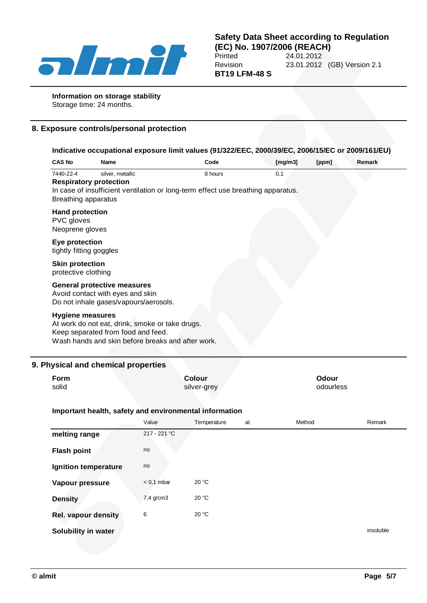

**Safety Data Sheet according to Regulation (EC) No. 1907/2006 (REACH)**<br>Printed 24.01.2012 24.01.2012 Revision 23.01.2012 (GB) Version 2.1 **BT19 LFM-48 S**

**Information on storage stability** Storage time: 24 months.

## **8. Exposure controls/personal protection**

| <b>CAS No</b>                                           | Name                                                                                                                                       | Code    | [mg/m3] | [ppm] | Remark |
|---------------------------------------------------------|--------------------------------------------------------------------------------------------------------------------------------------------|---------|---------|-------|--------|
| 7440-22-4                                               | silver, metallic<br><b>Respiratory protection</b>                                                                                          | 8 hours | 0,1     |       |        |
| <b>Breathing apparatus</b>                              | In case of insufficient ventilation or long-term effect use breathing apparatus.                                                           |         |         |       |        |
| <b>Hand protection</b><br>PVC gloves<br>Neoprene gloves |                                                                                                                                            |         |         |       |        |
| Eye protection<br>tightly fitting goggles               |                                                                                                                                            |         |         |       |        |
| <b>Skin protection</b><br>protective clothing           |                                                                                                                                            |         |         |       |        |
|                                                         | <b>General protective measures</b><br>Avoid contact with eyes and skin<br>Do not inhale gases/vapours/aerosols.                            |         |         |       |        |
| <b>Hygiene measures</b>                                 | At work do not eat, drink, smoke or take drugs.<br>Keep separated from food and feed.<br>Wash hands and skin before breaks and after work. |         |         |       |        |
|                                                         |                                                                                                                                            |         |         |       |        |

| <b>Form</b> | <b>Colour</b> | <b>Odour</b> |
|-------------|---------------|--------------|
| solid       | silver-grey   | odourless    |

## **Important health, safety and environmental information**

|                            | Value        | Temperature | at | Method | Remark    |
|----------------------------|--------------|-------------|----|--------|-----------|
| melting range              | 217 - 221 °C |             |    |        |           |
| <b>Flash point</b>         | no           |             |    |        |           |
| Ignition temperature       | no           |             |    |        |           |
| Vapour pressure            | $< 0.1$ mbar | 20 °C       |    |        |           |
| <b>Density</b>             | 7,4 g/cm3    | 20 °C       |    |        |           |
| <b>Rel. vapour density</b> | 6            | 20 °C       |    |        |           |
| Solubility in water        |              |             |    |        | insoluble |
|                            |              |             |    |        |           |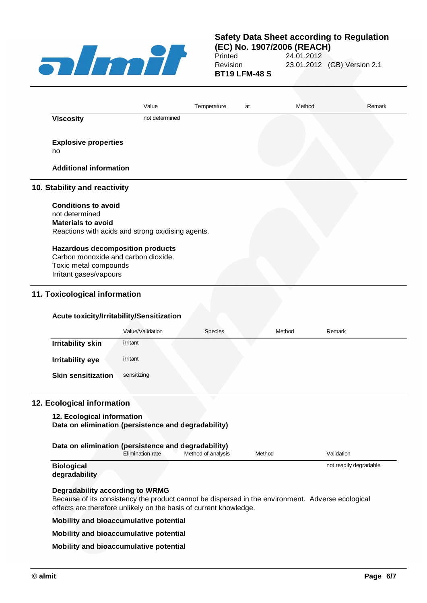

# **Safety Data Sheet according to Regulation**

**(EC) No. 1907/2006 (REACH)** 24.01.2012 Revision 23.01.2012 (GB) Version 2.1 **BT19 LFM-48 S**

|                                                   | Value          | Temperature | at | Method | Remark |
|---------------------------------------------------|----------------|-------------|----|--------|--------|
| <b>Viscosity</b>                                  | not determined |             |    |        |        |
|                                                   |                |             |    |        |        |
| <b>Explosive properties</b><br>no                 |                |             |    |        |        |
|                                                   |                |             |    |        |        |
| <b>Additional information</b>                     |                |             |    |        |        |
| 10. Stability and reactivity                      |                |             |    |        |        |
| <b>Conditions to avoid</b>                        |                |             |    |        |        |
| not determined                                    |                |             |    |        |        |
| <b>Materials to avoid</b>                         |                |             |    |        |        |
| Reactions with acids and strong oxidising agents. |                |             |    |        |        |
| <b>Hazardous decomposition products</b>           |                |             |    |        |        |
| Carbon monoxide and carbon dioxide.               |                |             |    |        |        |
| Toxic metal compounds                             |                |             |    |        |        |
| Irritant gases/vapours                            |                |             |    |        |        |
| 11. Toxicological information                     |                |             |    |        |        |

## **Acute toxicity/Irritability/Sensitization**

|                           | Value/Validation | <b>Species</b> | Method | Remark |
|---------------------------|------------------|----------------|--------|--------|
| <b>Irritability skin</b>  | irritant         |                |        |        |
| Irritability eye          | irritant         |                |        |        |
| <b>Skin sensitization</b> | sensitizing      |                |        |        |

## **12. Ecological information**

# **12. Ecological information**

**Data on elimination (persistence and degradability)**

| Data on elimination (persistence and degradability) |                  |                    |        |                        |  |  |
|-----------------------------------------------------|------------------|--------------------|--------|------------------------|--|--|
|                                                     | Elimination rate | Method of analysis | Method | Validation             |  |  |
| <b>Biological</b><br>degradability                  |                  |                    |        | not readily degradable |  |  |

## **Degradability according to WRMG**

Because of its consistency the product cannot be dispersed in the environment. Adverse ecological effects are therefore unlikely on the basis of current knowledge.

**Mobility and bioaccumulative potential**

#### **Mobility and bioaccumulative potential**

**Mobility and bioaccumulative potential**